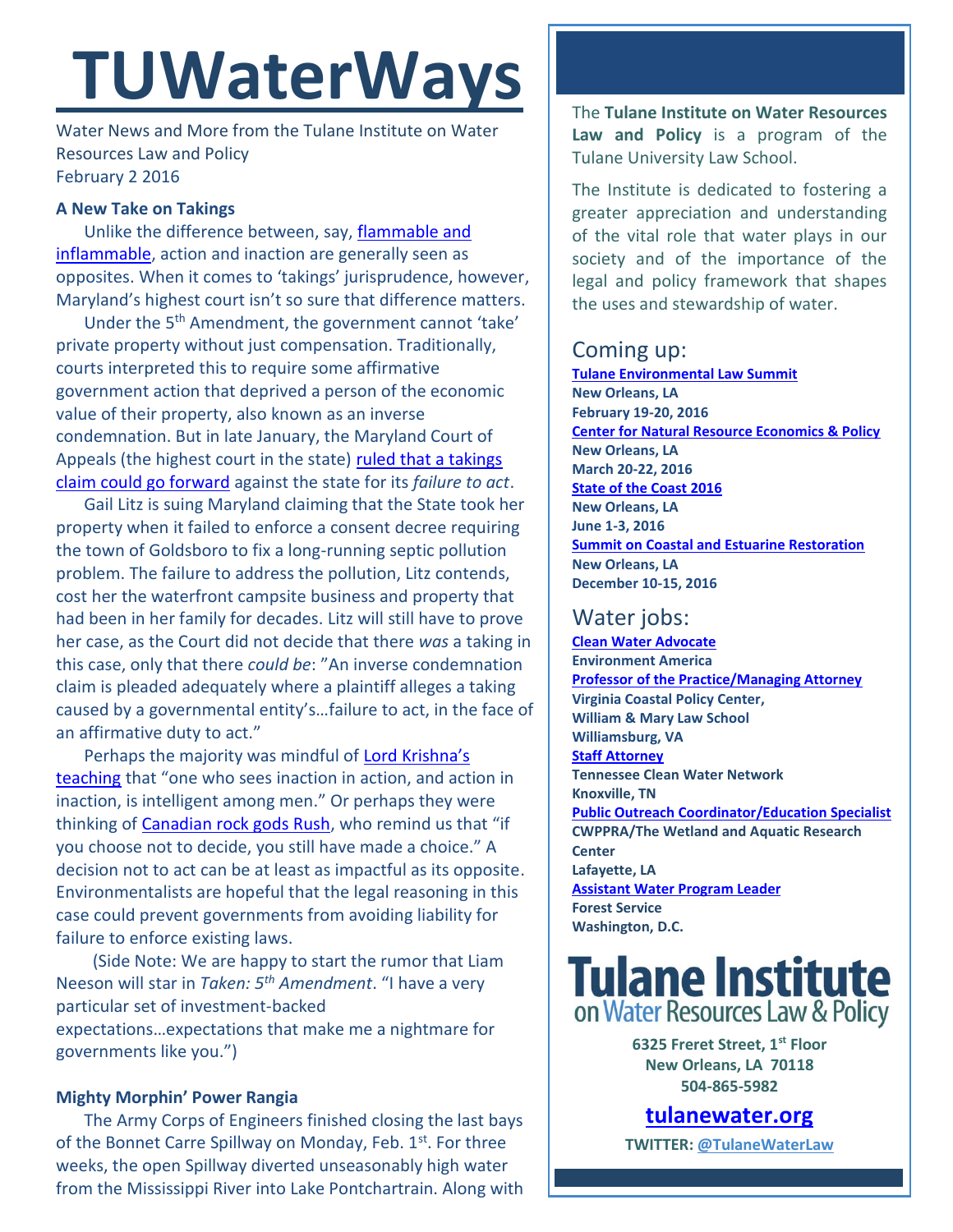# **TUWaterWays**

Water News and More from the Tulane Institute on Water Resources Law and Policy February 2 2016

#### **A New Take on Takings**

Unlike the difference between, say, [flammable and](https://www.youtube.com/watch?v=Q8mD2hsxrhQ)  [inflammable,](https://www.youtube.com/watch?v=Q8mD2hsxrhQ) action and inaction are generally seen as opposites. When it comes to 'takings' jurisprudence, however, Maryland's highest court isn't so sure that difference matters.

Under the 5<sup>th</sup> Amendment, the government cannot 'take' private property without just compensation. Traditionally, courts interpreted this to require some affirmative government action that deprived a person of the economic value of their property, also known as an inverse condemnation. But in late January, the Maryland Court of Appeals (the highest court in the state) [ruled that a takings](http://www.mdcourts.gov/opinions/coa/2016/23a15.pdf)  [claim could go forward](http://www.mdcourts.gov/opinions/coa/2016/23a15.pdf) against the state for its *failure to act*.

Gail Litz is suing Maryland claiming that the State took her property when it failed to enforce a consent decree requiring the town of Goldsboro to fix a long-running septic pollution problem. The failure to address the pollution, Litz contends, cost her the waterfront campsite business and property that had been in her family for decades. Litz will still have to prove her case, as the Court did not decide that there *was* a taking in this case, only that there *could be*: "An inverse condemnation claim is pleaded adequately where a plaintiff alleges a taking caused by a governmental entity's…failure to act, in the face of an affirmative duty to act."

Perhaps the majority was mindful of [Lord Krishna's](http://asitis.com/4/18.html)  [teaching](http://asitis.com/4/18.html) that "one who sees inaction in action, and action in inaction, is intelligent among men." Or perhaps they were thinking of [Canadian rock gods Rush,](https://www.youtube.com/watch?v=bpOyQhgM1FU) who remind us that "if you choose not to decide, you still have made a choice." A decision not to act can be at least as impactful as its opposite. Environmentalists are hopeful that the legal reasoning in this case could prevent governments from avoiding liability for failure to enforce existing laws.

 (Side Note: We are happy to start the rumor that Liam Neeson will star in *Taken: 5th Amendment*. "I have a very particular set of investment-backed expectations…expectations that make me a nightmare for governments like you.")

### **Mighty Morphin' Power Rangia**

The Army Corps of Engineers finished closing the last bays of the Bonnet Carre Spillway on Monday, Feb. 1<sup>st</sup>. For three weeks, the open Spillway diverted unseasonably high water from the Mississippi River into Lake Pontchartrain. Along with

The **Tulane Institute on Water Resources Law and Policy** is a program of the Tulane University Law School.

The Institute is dedicated to fostering a greater appreciation and understanding of the vital role that water plays in our society and of the importance of the legal and policy framework that shapes the uses and stewardship of water.

# Coming up:

**[Tulane Environmental Law Summit](http://tulaneenvironmentallawsummit.com/) New Orleans, LA February 19-20, 2016 [Center for Natural Resource Economics & Policy](http://www.cnrep.lsu.edu/2016/) New Orleans, LA March 20-22, 2016 [State of the Coast](http://stateofthecoast.org/) 2016 New Orleans, LA June 1-3, 2016 [Summit on Coastal and Estuarine Restoration](https://www.estuaries.org/images/NOLA_2016/2016-Summit-CFP_FINAL-011516.pdf) New Orleans, LA December 10-15, 2016**

## Water jobs:

**[Clean Water Advocate](http://jobs.environmentamerica.org/clean-water-advocate.html) Environment America [Professor of the Practice/Managing Attorney](https://jobs.wm.edu/postings/22816) Virginia Coastal Policy Center, William & Mary Law School Williamsburg, VA [Staff Attorney](http://www.tcwn.org/job-opening-staff-attorney/) Tennessee Clean Water Network Knoxville, TN [Public Outreach Coordinator/Education Specialist](http://webconnect3.sendouts.com/cn_frame.aspx?id=etip&siteid=webconnect&group=etip&key=cn) CWPPRA/The Wetland and Aquatic Research Center Lafayette, LA [Assistant Water Program Leader](http://www.fishwildlife.org/files/Assistant_Water_PL_Outreach_Jan2016.pdf) Forest Service Washington, D.C.**

# **Tulane Institute** on Water Resources Law & Policy

**6325 Freret Street, 1st Floor New Orleans, LA 70118 504-865-5982** 

# **[tulanewater.org](file:///C:/Users/waterlaw/Downloads/tulanewater.org)**

**TWITTER: [@TulaneWaterLaw](http://www.twitter.com/TulaneWaterLaw)**